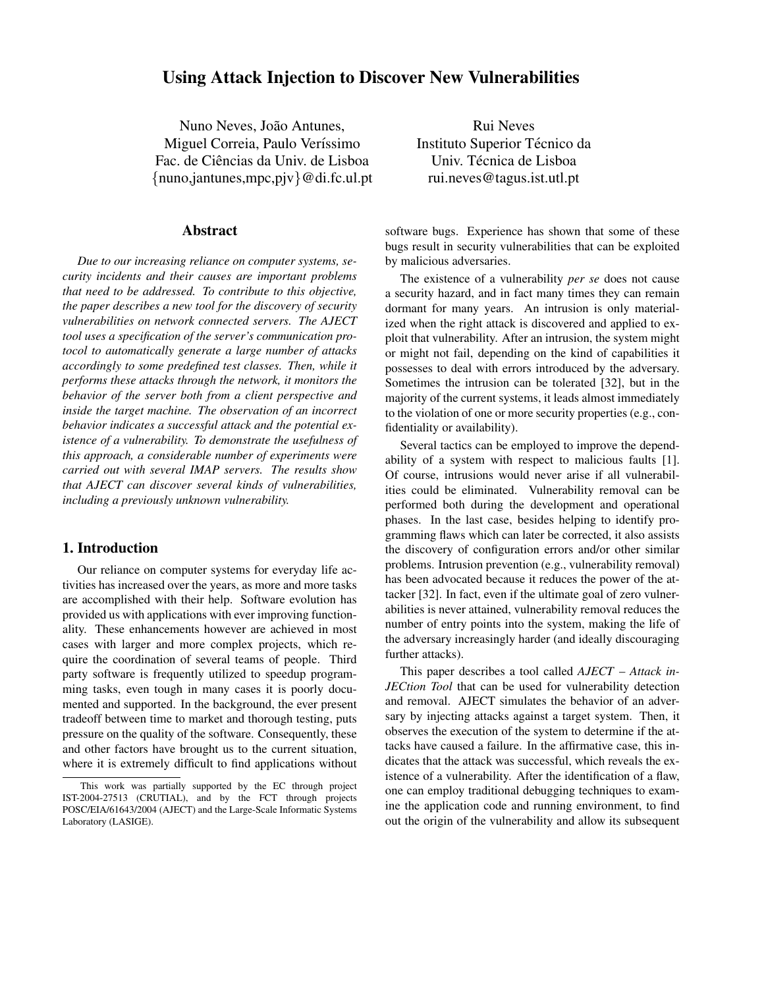# **Using Attack Injection to Discover New Vulnerabilities**

Nuno Neves, João Antunes, Miguel Correia, Paulo Veríssimo Fac. de Ciências da Univ. de Lisboa {nuno,jantunes,mpc,pjv}@di.fc.ul.pt

#### **Abstract**

*Due to our increasing reliance on computer systems, security incidents and their causes are important problems that need to be addressed. To contribute to this objective, the paper describes a new tool for the discovery of security vulnerabilities on network connected servers. The AJECT tool uses a specification of the server's communication protocol to automatically generate a large number of attacks accordingly to some predefined test classes. Then, while it performs these attacks through the network, it monitors the behavior of the server both from a client perspective and inside the target machine. The observation of an incorrect behavior indicates a successful attack and the potential existence of a vulnerability. To demonstrate the usefulness of this approach, a considerable number of experiments were carried out with several IMAP servers. The results show that AJECT can discover several kinds of vulnerabilities, including a previously unknown vulnerability.*

## **1. Introduction**

Our reliance on computer systems for everyday life activities has increased over the years, as more and more tasks are accomplished with their help. Software evolution has provided us with applications with ever improving functionality. These enhancements however are achieved in most cases with larger and more complex projects, which require the coordination of several teams of people. Third party software is frequently utilized to speedup programming tasks, even tough in many cases it is poorly documented and supported. In the background, the ever present tradeoff between time to market and thorough testing, puts pressure on the quality of the software. Consequently, these and other factors have brought us to the current situation, where it is extremely difficult to find applications without

Rui Neves Instituto Superior Técnico da Univ. Técnica de Lisboa rui.neves@tagus.ist.utl.pt

software bugs. Experience has shown that some of these bugs result in security vulnerabilities that can be exploited by malicious adversaries.

The existence of a vulnerability *per se* does not cause a security hazard, and in fact many times they can remain dormant for many years. An intrusion is only materialized when the right attack is discovered and applied to exploit that vulnerability. After an intrusion, the system might or might not fail, depending on the kind of capabilities it possesses to deal with errors introduced by the adversary. Sometimes the intrusion can be tolerated [32], but in the majority of the current systems, it leads almost immediately to the violation of one or more security properties (e.g., confidentiality or availability).

Several tactics can be employed to improve the dependability of a system with respect to malicious faults [1]. Of course, intrusions would never arise if all vulnerabilities could be eliminated. Vulnerability removal can be performed both during the development and operational phases. In the last case, besides helping to identify programming flaws which can later be corrected, it also assists the discovery of configuration errors and/or other similar problems. Intrusion prevention (e.g., vulnerability removal) has been advocated because it reduces the power of the attacker [32]. In fact, even if the ultimate goal of zero vulnerabilities is never attained, vulnerability removal reduces the number of entry points into the system, making the life of the adversary increasingly harder (and ideally discouraging further attacks).

This paper describes a tool called *AJECT* – *Attack in-JECtion Tool* that can be used for vulnerability detection and removal. AJECT simulates the behavior of an adversary by injecting attacks against a target system. Then, it observes the execution of the system to determine if the attacks have caused a failure. In the affirmative case, this indicates that the attack was successful, which reveals the existence of a vulnerability. After the identification of a flaw, one can employ traditional debugging techniques to examine the application code and running environment, to find out the origin of the vulnerability and allow its subsequent

This work was partially supported by the EC through project IST-2004-27513 (CRUTIAL), and by the FCT through projects POSC/EIA/61643/2004 (AJECT) and the Large-Scale Informatic Systems Laboratory (LASIGE).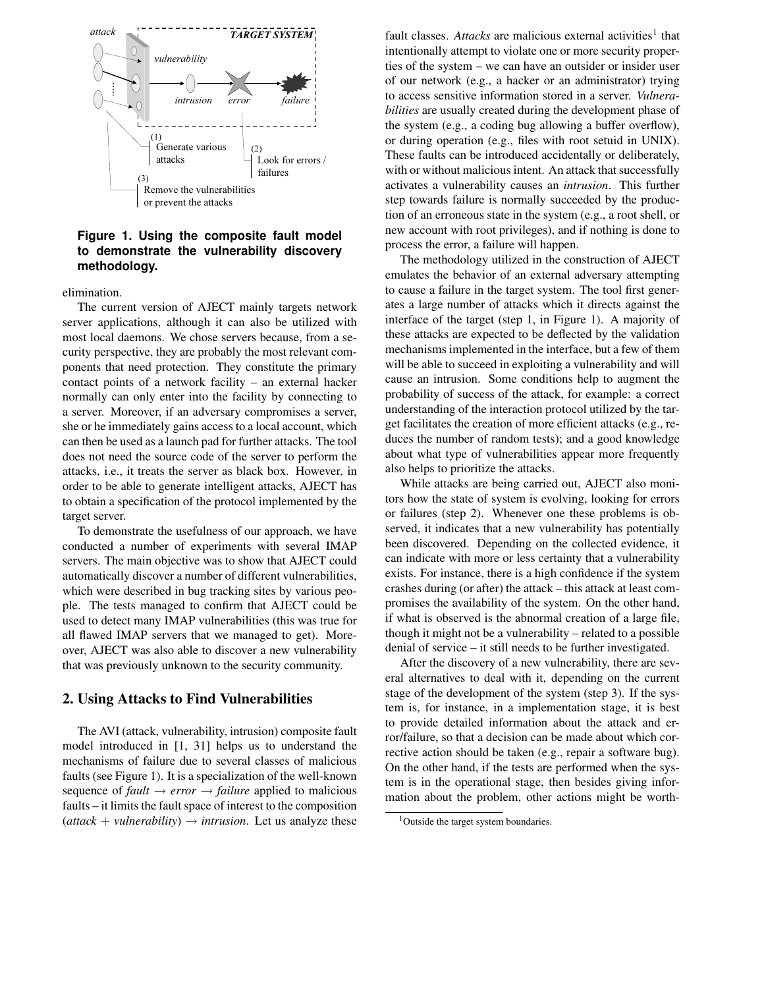

### **Figure 1. Using the composite fault model to demonstrate the vulnerability discovery methodology.**

elimination.

The current version of AJECT mainly targets network server applications, although it can also be utilized with most local daemons. We chose servers because, from a security perspective, they are probably the most relevant components that need protection. They constitute the primary contact points of a network facility – an external hacker normally can only enter into the facility by connecting to a server. Moreover, if an adversary compromises a server, she or he immediately gains access to a local account, which can then be used as a launch pad for further attacks. The tool does not need the source code of the server to perform the attacks, i.e., it treats the server as black box. However, in order to be able to generate intelligent attacks, AJECT has to obtain a specification of the protocol implemented by the target server.

To demonstrate the usefulness of our approach, we have conducted a number of experiments with several IMAP servers. The main objective was to show that AJECT could automatically discover a number of different vulnerabilities, which were described in bug tracking sites by various people. The tests managed to confirm that AJECT could be used to detect many IMAP vulnerabilities (this was true for all flawed IMAP servers that we managed to get). Moreover, AJECT was also able to discover a new vulnerability that was previously unknown to the security community.

#### **2. Using Attacks to Find Vulnerabilities**

The AVI (attack, vulnerability, intrusion) composite fault model introduced in [1, 31] helps us to understand the mechanisms of failure due to several classes of malicious faults (see Figure 1). It is a specialization of the well-known sequence of  $fault \rightarrow error \rightarrow failure$  applied to malicious faults – it limits the fault space of interest to the composition  $(attack + valnerability) \rightarrow intrusion$ . Let us analyze these

fault classes. Attacks are malicious external activities<sup>1</sup> that intentionally attempt to violate one or more security properties of the system – we can have an outsider or insider user of our network (e.g., a hacker or an administrator) trying to access sensitive information stored in a server. *Vulnerabilities* are usually created during the development phase of the system (e.g., a coding bug allowing a buffer overflow), or during operation (e.g., files with root setuid in UNIX). These faults can be introduced accidentally or deliberately, with or without malicious intent. An attack that successfully activates a vulnerability causes an *intrusion*. This further step towards failure is normally succeeded by the production of an erroneous state in the system (e.g., a root shell, or new account with root privileges), and if nothing is done to process the error, a failure will happen.

The methodology utilized in the construction of AJECT emulates the behavior of an external adversary attempting to cause a failure in the target system. The tool first generates a large number of attacks which it directs against the interface of the target (step 1, in Figure 1). A majority of these attacks are expected to be deflected by the validation mechanisms implemented in the interface, but a few of them will be able to succeed in exploiting a vulnerability and will cause an intrusion. Some conditions help to augment the probability of success of the attack, for example: a correct understanding of the interaction protocol utilized by the target facilitates the creation of more efficient attacks (e.g., reduces the number of random tests); and a good knowledge about what type of vulnerabilities appear more frequently also helps to prioritize the attacks.

While attacks are being carried out, AJECT also monitors how the state of system is evolving, looking for errors or failures (step 2). Whenever one these problems is observed, it indicates that a new vulnerability has potentially been discovered. Depending on the collected evidence, it can indicate with more or less certainty that a vulnerability exists. For instance, there is a high confidence if the system crashes during (or after) the attack – this attack at least compromises the availability of the system. On the other hand, if what is observed is the abnormal creation of a large file, though it might not be a vulnerability – related to a possible denial of service – it still needs to be further investigated.

After the discovery of a new vulnerability, there are several alternatives to deal with it, depending on the current stage of the development of the system (step 3). If the system is, for instance, in a implementation stage, it is best to provide detailed information about the attack and error/failure, so that a decision can be made about which corrective action should be taken (e.g., repair a software bug). On the other hand, if the tests are performed when the system is in the operational stage, then besides giving information about the problem, other actions might be worth-

<sup>&</sup>lt;sup>1</sup>Outside the target system boundaries.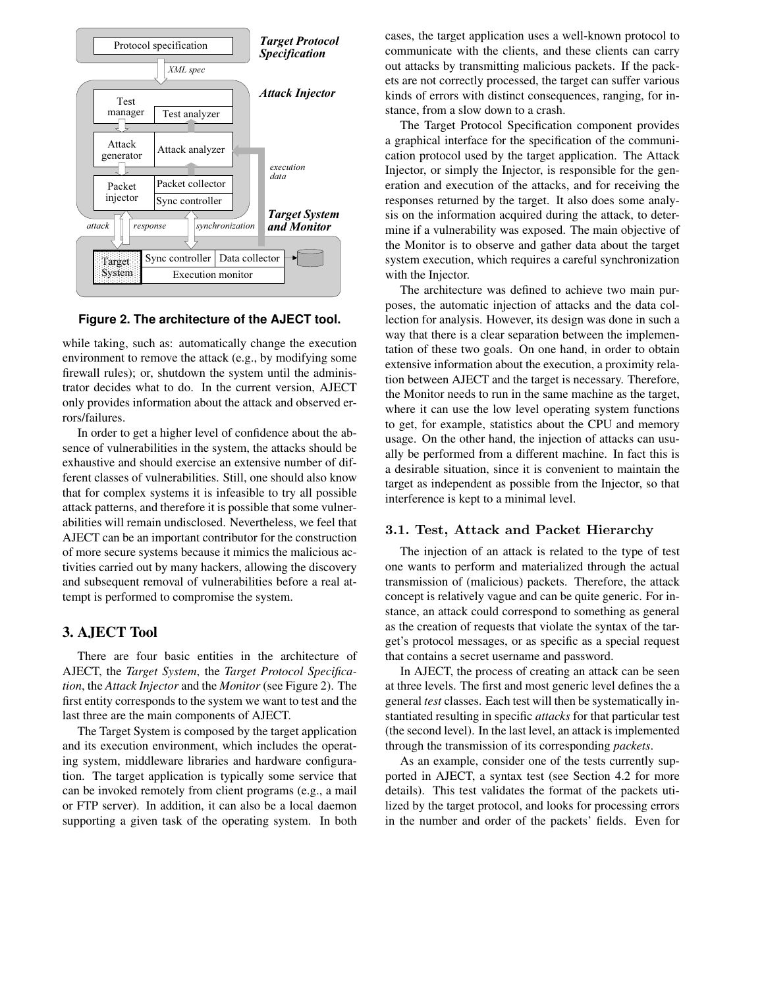

#### **Figure 2. The architecture of the AJECT tool.**

while taking, such as: automatically change the execution environment to remove the attack (e.g., by modifying some firewall rules); or, shutdown the system until the administrator decides what to do. In the current version, AJECT only provides information about the attack and observed errors/failures.

In order to get a higher level of confidence about the absence of vulnerabilities in the system, the attacks should be exhaustive and should exercise an extensive number of different classes of vulnerabilities. Still, one should also know that for complex systems it is infeasible to try all possible attack patterns, and therefore it is possible that some vulnerabilities will remain undisclosed. Nevertheless, we feel that AJECT can be an important contributor for the construction of more secure systems because it mimics the malicious activities carried out by many hackers, allowing the discovery and subsequent removal of vulnerabilities before a real attempt is performed to compromise the system.

#### **3. AJECT Tool**

There are four basic entities in the architecture of AJECT, the *Target System*, the *Target Protocol Specification*, the *Attack Injector* and the *Monitor* (see Figure 2). The first entity corresponds to the system we want to test and the last three are the main components of AJECT.

The Target System is composed by the target application and its execution environment, which includes the operating system, middleware libraries and hardware configuration. The target application is typically some service that can be invoked remotely from client programs (e.g., a mail or FTP server). In addition, it can also be a local daemon supporting a given task of the operating system. In both cases, the target application uses a well-known protocol to communicate with the clients, and these clients can carry out attacks by transmitting malicious packets. If the packets are not correctly processed, the target can suffer various kinds of errors with distinct consequences, ranging, for instance, from a slow down to a crash.

The Target Protocol Specification component provides a graphical interface for the specification of the communication protocol used by the target application. The Attack Injector, or simply the Injector, is responsible for the generation and execution of the attacks, and for receiving the responses returned by the target. It also does some analysis on the information acquired during the attack, to determine if a vulnerability was exposed. The main objective of the Monitor is to observe and gather data about the target system execution, which requires a careful synchronization with the Injector.

The architecture was defined to achieve two main purposes, the automatic injection of attacks and the data collection for analysis. However, its design was done in such a way that there is a clear separation between the implementation of these two goals. On one hand, in order to obtain extensive information about the execution, a proximity relation between AJECT and the target is necessary. Therefore, the Monitor needs to run in the same machine as the target, where it can use the low level operating system functions to get, for example, statistics about the CPU and memory usage. On the other hand, the injection of attacks can usually be performed from a different machine. In fact this is a desirable situation, since it is convenient to maintain the target as independent as possible from the Injector, so that interference is kept to a minimal level.

#### 3.1. Test, Attack and Packet Hierarchy

The injection of an attack is related to the type of test one wants to perform and materialized through the actual transmission of (malicious) packets. Therefore, the attack concept is relatively vague and can be quite generic. For instance, an attack could correspond to something as general as the creation of requests that violate the syntax of the target's protocol messages, or as specific as a special request that contains a secret username and password.

In AJECT, the process of creating an attack can be seen at three levels. The first and most generic level defines the a general *test* classes. Each test will then be systematically instantiated resulting in specific *attacks* for that particular test (the second level). In the last level, an attack is implemented through the transmission of its corresponding *packets*.

As an example, consider one of the tests currently supported in AJECT, a syntax test (see Section 4.2 for more details). This test validates the format of the packets utilized by the target protocol, and looks for processing errors in the number and order of the packets' fields. Even for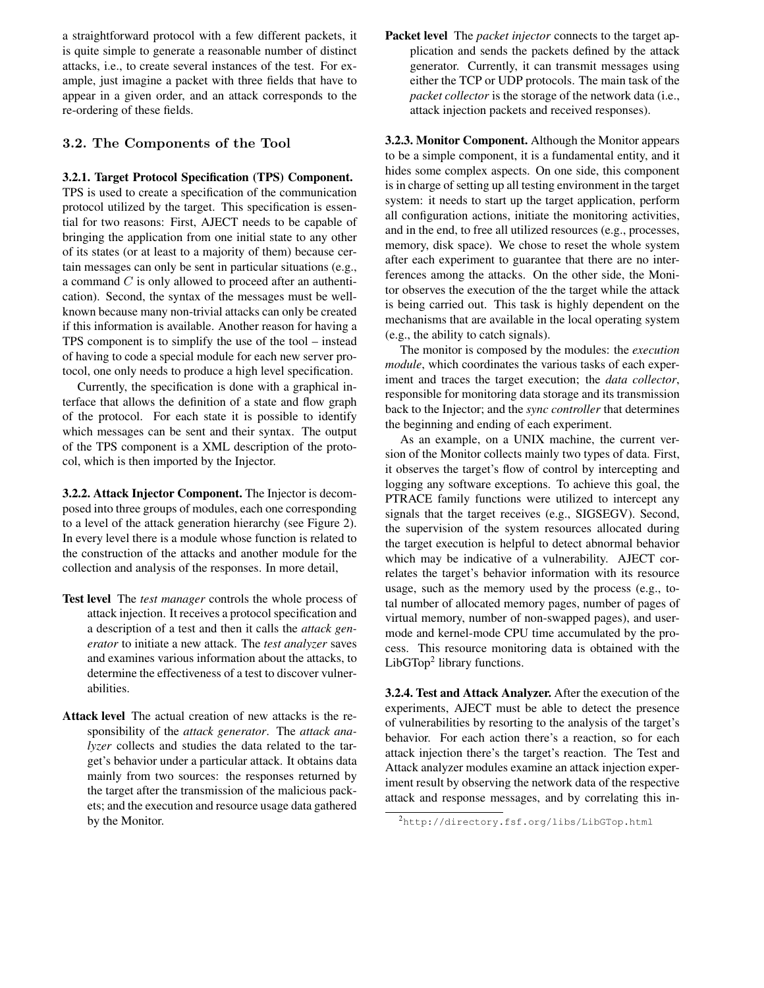a straightforward protocol with a few different packets, it is quite simple to generate a reasonable number of distinct attacks, i.e., to create several instances of the test. For example, just imagine a packet with three fields that have to appear in a given order, and an attack corresponds to the re-ordering of these fields.

### 3.2. The Components of the Tool

#### **3.2.1. Target Protocol Specification (TPS) Component.**

TPS is used to create a specification of the communication protocol utilized by the target. This specification is essential for two reasons: First, AJECT needs to be capable of bringing the application from one initial state to any other of its states (or at least to a majority of them) because certain messages can only be sent in particular situations (e.g., a command C is only allowed to proceed after an authentication). Second, the syntax of the messages must be wellknown because many non-trivial attacks can only be created if this information is available. Another reason for having a TPS component is to simplify the use of the tool – instead of having to code a special module for each new server protocol, one only needs to produce a high level specification.

Currently, the specification is done with a graphical interface that allows the definition of a state and flow graph of the protocol. For each state it is possible to identify which messages can be sent and their syntax. The output of the TPS component is a XML description of the protocol, which is then imported by the Injector.

**3.2.2. Attack Injector Component.** The Injector is decomposed into three groups of modules, each one corresponding to a level of the attack generation hierarchy (see Figure 2). In every level there is a module whose function is related to the construction of the attacks and another module for the collection and analysis of the responses. In more detail,

- **Test level** The *test manager* controls the whole process of attack injection. It receives a protocol specification and a description of a test and then it calls the *attack generator* to initiate a new attack. The *test analyzer* saves and examines various information about the attacks, to determine the effectiveness of a test to discover vulnerabilities.
- **Attack level** The actual creation of new attacks is the responsibility of the *attack generator*. The *attack analyzer* collects and studies the data related to the target's behavior under a particular attack. It obtains data mainly from two sources: the responses returned by the target after the transmission of the malicious packets; and the execution and resource usage data gathered by the Monitor.

**Packet level** The *packet injector* connects to the target application and sends the packets defined by the attack generator. Currently, it can transmit messages using either the TCP or UDP protocols. The main task of the *packet collector* is the storage of the network data (i.e., attack injection packets and received responses).

**3.2.3. Monitor Component.** Although the Monitor appears to be a simple component, it is a fundamental entity, and it hides some complex aspects. On one side, this component is in charge of setting up all testing environment in the target system: it needs to start up the target application, perform all configuration actions, initiate the monitoring activities, and in the end, to free all utilized resources (e.g., processes, memory, disk space). We chose to reset the whole system after each experiment to guarantee that there are no interferences among the attacks. On the other side, the Monitor observes the execution of the the target while the attack is being carried out. This task is highly dependent on the mechanisms that are available in the local operating system (e.g., the ability to catch signals).

The monitor is composed by the modules: the *execution module*, which coordinates the various tasks of each experiment and traces the target execution; the *data collector*, responsible for monitoring data storage and its transmission back to the Injector; and the *sync controller* that determines the beginning and ending of each experiment.

As an example, on a UNIX machine, the current version of the Monitor collects mainly two types of data. First, it observes the target's flow of control by intercepting and logging any software exceptions. To achieve this goal, the PTRACE family functions were utilized to intercept any signals that the target receives (e.g., SIGSEGV). Second, the supervision of the system resources allocated during the target execution is helpful to detect abnormal behavior which may be indicative of a vulnerability. AJECT correlates the target's behavior information with its resource usage, such as the memory used by the process (e.g., total number of allocated memory pages, number of pages of virtual memory, number of non-swapped pages), and usermode and kernel-mode CPU time accumulated by the process. This resource monitoring data is obtained with the LibGTop<sup>2</sup> library functions.

**3.2.4. Test and Attack Analyzer.** After the execution of the experiments, AJECT must be able to detect the presence of vulnerabilities by resorting to the analysis of the target's behavior. For each action there's a reaction, so for each attack injection there's the target's reaction. The Test and Attack analyzer modules examine an attack injection experiment result by observing the network data of the respective attack and response messages, and by correlating this in-

<sup>2</sup>http://directory.fsf.org/libs/LibGTop.html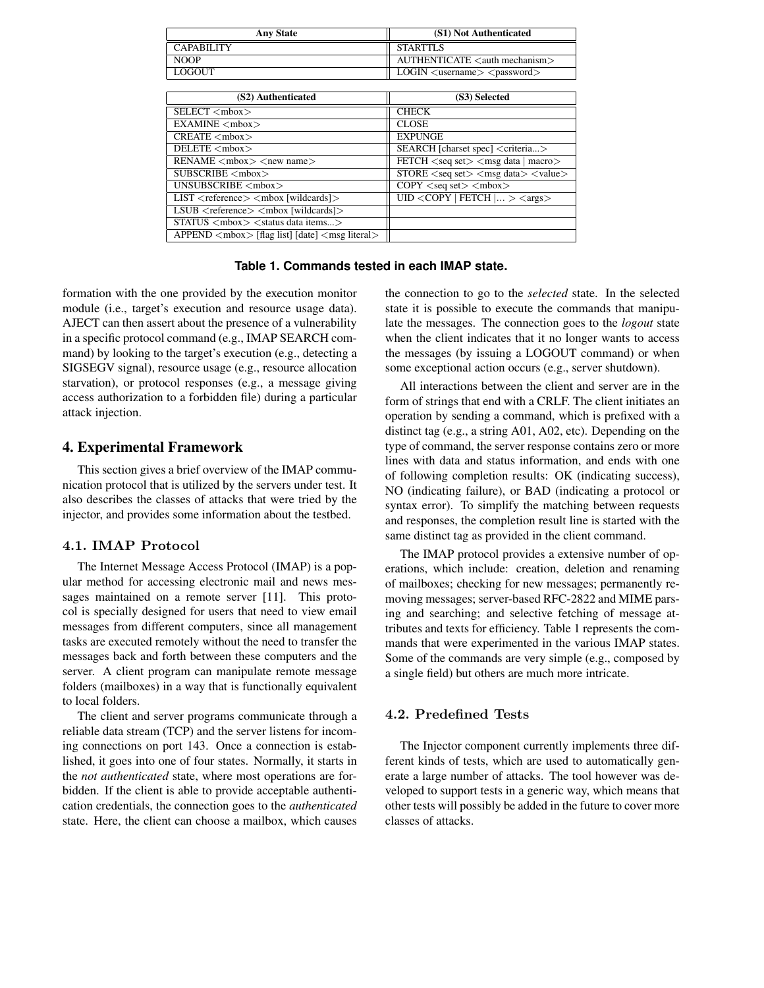| <b>Any State</b>  | (S1) Not Authenticated                                 |
|-------------------|--------------------------------------------------------|
| <b>CAPABILITY</b> | <b>STARTTLS</b>                                        |
| <b>NOOP</b>       | AUTHENTICATE <auth mechanism=""></auth>                |
| LOGOUT            | $\sim$ LOGIN $\lt$ username $\gt$ $\lt$ password $\gt$ |

| (S2) Authenticated                                        | (S3) Selected                                        |
|-----------------------------------------------------------|------------------------------------------------------|
| SELECT <mbox></mbox>                                      | <b>CHECK</b>                                         |
| EXAMINE <mbox></mbox>                                     | <b>CLOSE</b>                                         |
| CREATE <sub>mbox</sub>                                    | <b>EXPUNGE</b>                                       |
| DELETE <mbox></mbox>                                      | SEARCH [charset spec] <criteria></criteria>          |
| $RENAME < 5 / new name$                                   | $FETCH <$ seq set $>$ $<$ msg data   macro $>$       |
| SUBSCRIBE < <sub>mbox</sub>                               | $STORE <$ seq set $>$ $<$ msg data $>$ $<$ value $>$ |
| UNSUBSCRIBE <mbox></mbox>                                 | $COPY <$ seq set $>$ $<$ mbox $>$                    |
| LIST <reference> <mbox [wildcards]=""></mbox></reference> | $UID \leq \text{COPY}$   FETCH $  \gt \text{}$       |
| $LSUB <$ reference $> <$ mbox [wildcards] $>$             |                                                      |
| $STATUS 5$ $<$ status data items >                        |                                                      |
| $APPEND mbox > [flag list] [date] msg literal$            |                                                      |

**Table 1. Commands tested in each IMAP state.**

formation with the one provided by the execution monitor module (i.e., target's execution and resource usage data). AJECT can then assert about the presence of a vulnerability in a specific protocol command (e.g., IMAP SEARCH command) by looking to the target's execution (e.g., detecting a SIGSEGV signal), resource usage (e.g., resource allocation starvation), or protocol responses (e.g., a message giving access authorization to a forbidden file) during a particular attack injection.

### **4. Experimental Framework**

This section gives a brief overview of the IMAP communication protocol that is utilized by the servers under test. It also describes the classes of attacks that were tried by the injector, and provides some information about the testbed.

#### 4.1. IMAP Protocol

The Internet Message Access Protocol (IMAP) is a popular method for accessing electronic mail and news messages maintained on a remote server [11]. This protocol is specially designed for users that need to view email messages from different computers, since all management tasks are executed remotely without the need to transfer the messages back and forth between these computers and the server. A client program can manipulate remote message folders (mailboxes) in a way that is functionally equivalent to local folders.

The client and server programs communicate through a reliable data stream (TCP) and the server listens for incoming connections on port 143. Once a connection is established, it goes into one of four states. Normally, it starts in the *not authenticated* state, where most operations are forbidden. If the client is able to provide acceptable authentication credentials, the connection goes to the *authenticated* state. Here, the client can choose a mailbox, which causes

the connection to go to the *selected* state. In the selected state it is possible to execute the commands that manipulate the messages. The connection goes to the *logout* state when the client indicates that it no longer wants to access the messages (by issuing a LOGOUT command) or when some exceptional action occurs (e.g., server shutdown).

All interactions between the client and server are in the form of strings that end with a CRLF. The client initiates an operation by sending a command, which is prefixed with a distinct tag (e.g., a string A01, A02, etc). Depending on the type of command, the server response contains zero or more lines with data and status information, and ends with one of following completion results: OK (indicating success), NO (indicating failure), or BAD (indicating a protocol or syntax error). To simplify the matching between requests and responses, the completion result line is started with the same distinct tag as provided in the client command.

The IMAP protocol provides a extensive number of operations, which include: creation, deletion and renaming of mailboxes; checking for new messages; permanently removing messages; server-based RFC-2822 and MIME parsing and searching; and selective fetching of message attributes and texts for efficiency. Table 1 represents the commands that were experimented in the various IMAP states. Some of the commands are very simple (e.g., composed by a single field) but others are much more intricate.

### 4.2. Predefined Tests

The Injector component currently implements three different kinds of tests, which are used to automatically generate a large number of attacks. The tool however was developed to support tests in a generic way, which means that other tests will possibly be added in the future to cover more classes of attacks.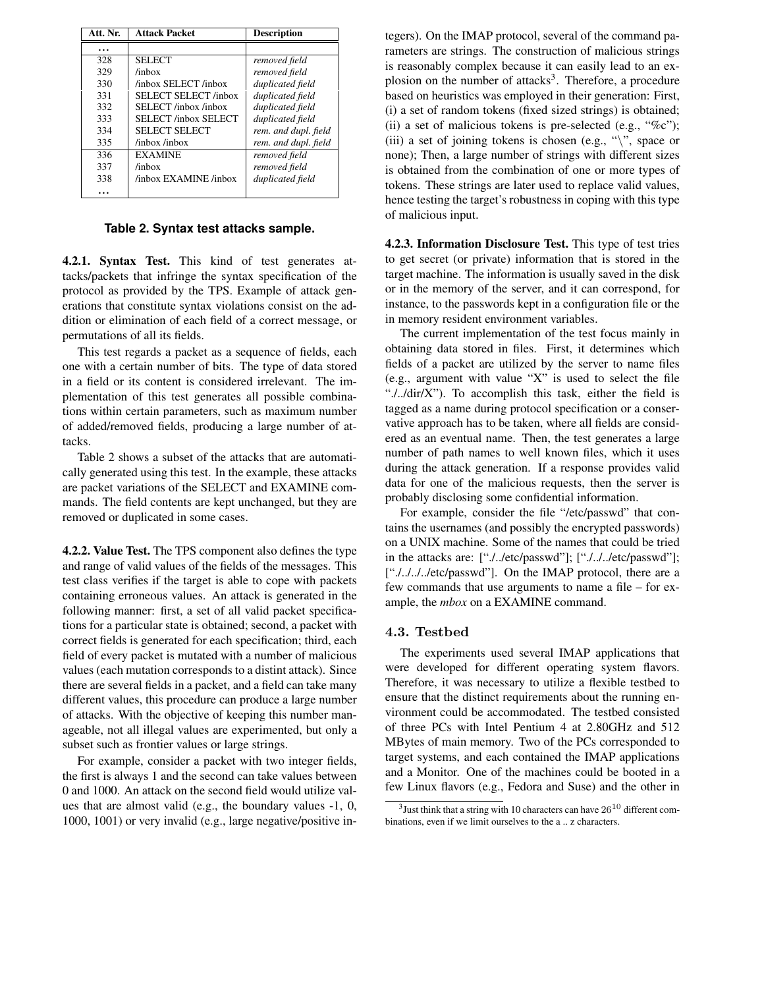| Att. Nr. | <b>Attack Packet</b>  | <b>Description</b>   |
|----------|-----------------------|----------------------|
|          |                       |                      |
| 328      | <b>SELECT</b>         | removed field        |
| 329      | $/$ inbox             | removed field        |
| 330      | /inbox SELECT /inbox  | duplicated field     |
| 331      | SELECT SELECT /inbox  | duplicated field     |
| 332      | SELECT /inbox /inbox  | duplicated field     |
| 333      | SELECT /inbox SELECT  | duplicated field     |
| 334      | SELECT SELECT         | rem. and dupl. field |
| 335      | /inbox /inbox         | rem. and dupl. field |
| 336      | <b>EXAMINE</b>        | removed field        |
| 337      | $/$ inbox             | removed field        |
| 338      | /inbox EXAMINE /inbox | duplicated field     |
|          |                       |                      |

### **Table 2. Syntax test attacks sample.**

**4.2.1. Syntax Test.** This kind of test generates attacks/packets that infringe the syntax specification of the protocol as provided by the TPS. Example of attack generations that constitute syntax violations consist on the addition or elimination of each field of a correct message, or permutations of all its fields.

This test regards a packet as a sequence of fields, each one with a certain number of bits. The type of data stored in a field or its content is considered irrelevant. The implementation of this test generates all possible combinations within certain parameters, such as maximum number of added/removed fields, producing a large number of attacks.

Table 2 shows a subset of the attacks that are automatically generated using this test. In the example, these attacks are packet variations of the SELECT and EXAMINE commands. The field contents are kept unchanged, but they are removed or duplicated in some cases.

**4.2.2. Value Test.** The TPS component also defines the type and range of valid values of the fields of the messages. This test class verifies if the target is able to cope with packets containing erroneous values. An attack is generated in the following manner: first, a set of all valid packet specifications for a particular state is obtained; second, a packet with correct fields is generated for each specification; third, each field of every packet is mutated with a number of malicious values (each mutation corresponds to a distint attack). Since there are several fields in a packet, and a field can take many different values, this procedure can produce a large number of attacks. With the objective of keeping this number manageable, not all illegal values are experimented, but only a subset such as frontier values or large strings.

For example, consider a packet with two integer fields, the first is always 1 and the second can take values between 0 and 1000. An attack on the second field would utilize values that are almost valid (e.g., the boundary values -1, 0, 1000, 1001) or very invalid (e.g., large negative/positive integers). On the IMAP protocol, several of the command parameters are strings. The construction of malicious strings is reasonably complex because it can easily lead to an explosion on the number of attacks<sup>3</sup>. Therefore, a procedure based on heuristics was employed in their generation: First, (i) a set of random tokens (fixed sized strings) is obtained; (ii) a set of malicious tokens is pre-selected (e.g.,  $\cdot\%c$ "); (iii) a set of joining tokens is chosen (e.g., " $\langle$ ", space or none); Then, a large number of strings with different sizes is obtained from the combination of one or more types of tokens. These strings are later used to replace valid values, hence testing the target's robustness in coping with this type of malicious input.

**4.2.3. Information Disclosure Test.** This type of test tries to get secret (or private) information that is stored in the target machine. The information is usually saved in the disk or in the memory of the server, and it can correspond, for instance, to the passwords kept in a configuration file or the in memory resident environment variables.

The current implementation of the test focus mainly in obtaining data stored in files. First, it determines which fields of a packet are utilized by the server to name files (e.g., argument with value "X" is used to select the file "./../dir/X"). To accomplish this task, either the field is tagged as a name during protocol specification or a conservative approach has to be taken, where all fields are considered as an eventual name. Then, the test generates a large number of path names to well known files, which it uses during the attack generation. If a response provides valid data for one of the malicious requests, then the server is probably disclosing some confidential information.

For example, consider the file "/etc/passwd" that contains the usernames (and possibly the encrypted passwords) on a UNIX machine. Some of the names that could be tried in the attacks are: ["./../etc/passwd"]; ["./../../etc/passwd"]; ["............./etc/passwd"]. On the IMAP protocol, there are a few commands that use arguments to name a file – for example, the *mbox* on a EXAMINE command.

#### 4.3. Testbed

The experiments used several IMAP applications that were developed for different operating system flavors. Therefore, it was necessary to utilize a flexible testbed to ensure that the distinct requirements about the running environment could be accommodated. The testbed consisted of three PCs with Intel Pentium 4 at 2.80GHz and 512 MBytes of main memory. Two of the PCs corresponded to target systems, and each contained the IMAP applications and a Monitor. One of the machines could be booted in a few Linux flavors (e.g., Fedora and Suse) and the other in

 $3$ Just think that a string with 10 characters can have  $26^{10}$  different combinations, even if we limit ourselves to the a .. z characters.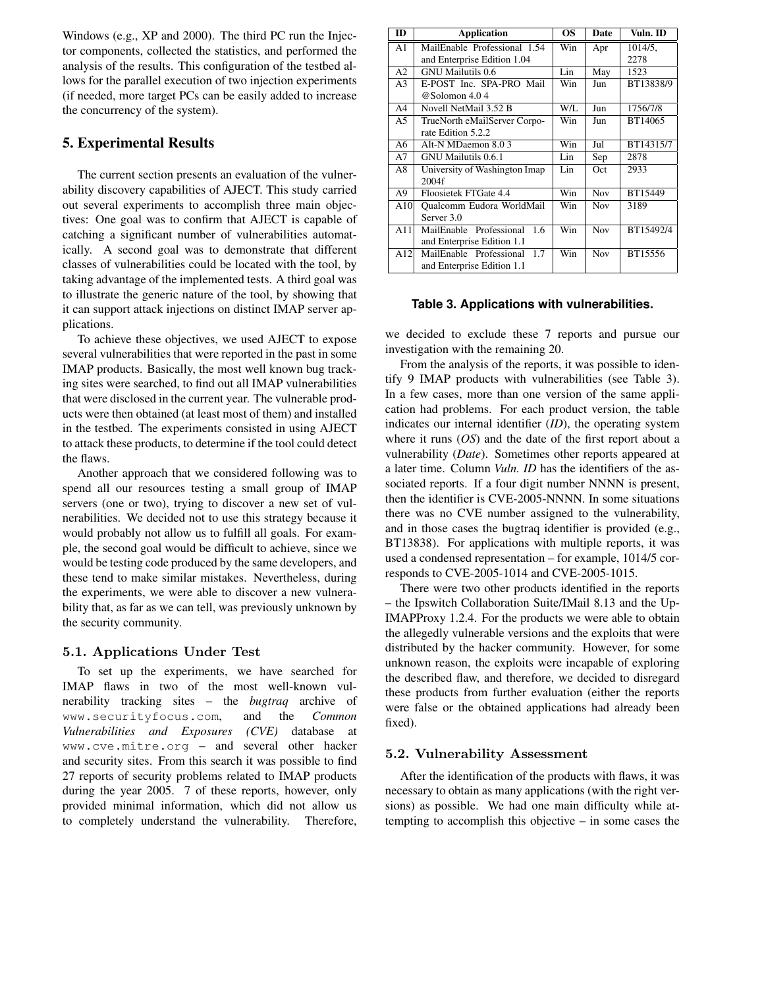Windows (e.g., XP and 2000). The third PC run the Injector components, collected the statistics, and performed the analysis of the results. This configuration of the testbed allows for the parallel execution of two injection experiments (if needed, more target PCs can be easily added to increase the concurrency of the system).

## **5. Experimental Results**

The current section presents an evaluation of the vulnerability discovery capabilities of AJECT. This study carried out several experiments to accomplish three main objectives: One goal was to confirm that AJECT is capable of catching a significant number of vulnerabilities automatically. A second goal was to demonstrate that different classes of vulnerabilities could be located with the tool, by taking advantage of the implemented tests. A third goal was to illustrate the generic nature of the tool, by showing that it can support attack injections on distinct IMAP server applications.

To achieve these objectives, we used AJECT to expose several vulnerabilities that were reported in the past in some IMAP products. Basically, the most well known bug tracking sites were searched, to find out all IMAP vulnerabilities that were disclosed in the current year. The vulnerable products were then obtained (at least most of them) and installed in the testbed. The experiments consisted in using AJECT to attack these products, to determine if the tool could detect the flaws.

Another approach that we considered following was to spend all our resources testing a small group of IMAP servers (one or two), trying to discover a new set of vulnerabilities. We decided not to use this strategy because it would probably not allow us to fulfill all goals. For example, the second goal would be difficult to achieve, since we would be testing code produced by the same developers, and these tend to make similar mistakes. Nevertheless, during the experiments, we were able to discover a new vulnerability that, as far as we can tell, was previously unknown by the security community.

#### 5.1. Applications Under Test

To set up the experiments, we have searched for IMAP flaws in two of the most well-known vulnerability tracking sites – the *bugtraq* archive of www.securityfocus.com, and the *Common Vulnerabilities and Exposures (CVE)* database at www.cve.mitre.org – and several other hacker and security sites. From this search it was possible to find 27 reports of security problems related to IMAP products during the year 2005. 7 of these reports, however, only provided minimal information, which did not allow us to completely understand the vulnerability. Therefore,

| <b>ID</b>      | <b>Application</b>            | <b>OS</b> | Date       | Vuln. ID  |
|----------------|-------------------------------|-----------|------------|-----------|
| A <sub>1</sub> | MailEnable Professional 1.54  | Win       | Apr        | 1014/5,   |
|                | and Enterprise Edition 1.04   |           |            | 2278      |
| A2             | <b>GNU</b> Mailutils 0.6      | Lin       | May        | 1523      |
| A <sub>3</sub> | E-POST Inc. SPA-PRO Mail      | Win       | Jun        | BT13838/9 |
|                | @Solomon 4.04                 |           |            |           |
| A <sub>4</sub> | Novell NetMail 3.52 B         | $W/I$ .   | Jun        | 1756/7/8  |
| A <sub>5</sub> | TrueNorth eMailServer Corpo-  | Win       | Jun        | BT14065   |
|                | rate Edition 5.2.2            |           |            |           |
| A6             | Alt-N MDaemon 8.03            | Win       | Jul        | BT14315/7 |
| A7             | GNU Mailutils 0.6.1           | Lin       | Sep        | 2878      |
| A8             | University of Washington Imap | Lin       | Oct        | 2933      |
|                | 2004f                         |           |            |           |
| A9             | Floosietek FTGate 4.4         | Win       | <b>Nov</b> | BT15449   |
| A10            | Qualcomm Eudora WorldMail     | Win       | <b>Nov</b> | 3189      |
|                | Server 3.0                    |           |            |           |
| A11            | MailEnable Professional 1.6   | Win       | <b>Nov</b> | BT15492/4 |
|                | and Enterprise Edition 1.1    |           |            |           |
| A12            | MailEnable Professional 1.7   | Win       | <b>Nov</b> | BT15556   |
|                | and Enterprise Edition 1.1    |           |            |           |

#### **Table 3. Applications with vulnerabilities.**

we decided to exclude these 7 reports and pursue our investigation with the remaining 20.

From the analysis of the reports, it was possible to identify 9 IMAP products with vulnerabilities (see Table 3). In a few cases, more than one version of the same application had problems. For each product version, the table indicates our internal identifier (*ID*), the operating system where it runs (*OS*) and the date of the first report about a vulnerability (*Date*). Sometimes other reports appeared at a later time. Column *Vuln. ID* has the identifiers of the associated reports. If a four digit number NNNN is present, then the identifier is CVE-2005-NNNN. In some situations there was no CVE number assigned to the vulnerability, and in those cases the bugtraq identifier is provided (e.g., BT13838). For applications with multiple reports, it was used a condensed representation – for example, 1014/5 corresponds to CVE-2005-1014 and CVE-2005-1015.

There were two other products identified in the reports – the Ipswitch Collaboration Suite/IMail 8.13 and the Up-IMAPProxy 1.2.4. For the products we were able to obtain the allegedly vulnerable versions and the exploits that were distributed by the hacker community. However, for some unknown reason, the exploits were incapable of exploring the described flaw, and therefore, we decided to disregard these products from further evaluation (either the reports were false or the obtained applications had already been fixed).

#### 5.2. Vulnerability Assessment

After the identification of the products with flaws, it was necessary to obtain as many applications (with the right versions) as possible. We had one main difficulty while attempting to accomplish this objective – in some cases the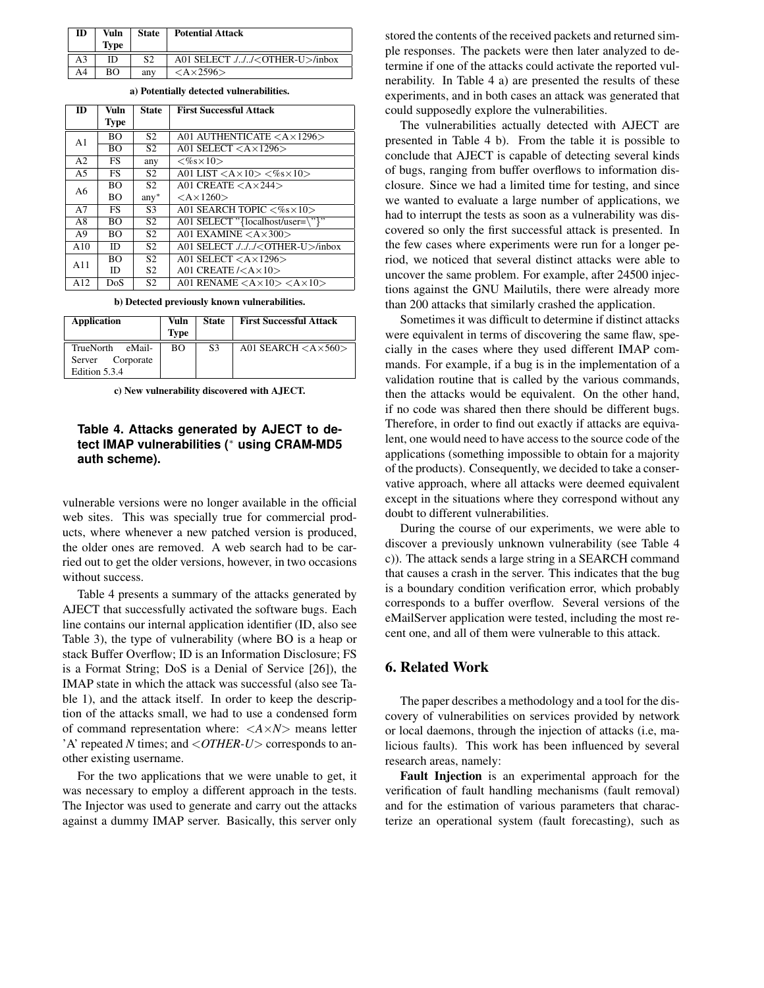| ID | Vuln<br><b>Type</b> | <b>State</b> | <b>Potential Attack</b>                   |
|----|---------------------|--------------|-------------------------------------------|
| A3 | ID                  | S2           | A01 SELECT ./// <other-u>/inbox</other-u> |
| A4 | BΟ                  | any          | $<\lambda \times 2596>$                   |

| <b>ID</b>      | Vuln        | <b>State</b>   | <b>First Successful Attack</b>                                       |  |
|----------------|-------------|----------------|----------------------------------------------------------------------|--|
|                | <b>Type</b> |                |                                                                      |  |
| A <sub>1</sub> | <b>BO</b>   | S <sub>2</sub> | A01 AUTHENTICATE $<$ A $\times$ 1296 $>$                             |  |
|                | BО          | S <sub>2</sub> | A01 SELECT $<$ A $\times$ 1296 $>$                                   |  |
| A <sub>2</sub> | FS.         | any            | $<\!\%s\times10\!\!>$                                                |  |
| A <sub>5</sub> | FS.         | S <sub>2</sub> | A01 LIST $\langle A \times 10 \rangle \langle \% \times 10 \rangle$  |  |
| A6             | <b>BO</b>   | S <sub>2</sub> | A01 CREATE $<$ A $\times$ 244 $>$                                    |  |
|                | <b>BO</b>   | $any^*$        | $<\mathsf{A}\times1260>$                                             |  |
| A7             | FS.         | S <sub>3</sub> | A01 SEARCH TOPIC $<\%s\times10>$                                     |  |
| A8             | <b>BO</b>   | S <sub>2</sub> | A01 SELECT "{localhost/user=\"}"                                     |  |
| A <sub>9</sub> | <b>BO</b>   | S <sub>2</sub> | A01 EXAMINE $<$ A $\times$ 300 $>$                                   |  |
| A10            | ID          | S <sub>2</sub> | A01 SELECT ./// <other-u>/inbox</other-u>                            |  |
| A11            | <b>BO</b>   | S <sub>2</sub> | A01 SELECT $<$ A $\times$ 1296 $>$                                   |  |
|                | ID          | S <sub>2</sub> | A01 CREATE $\angle$ A $\times$ 10 $>$                                |  |
| A12            | DoS         | S <sub>2</sub> | A01 RENAME $\langle A \times 10 \rangle \langle A \times 10 \rangle$ |  |

**a) Potentially detected vulnerabilities.**

|  |  |  |  | b) Detected previously known vulnerabilities. |
|--|--|--|--|-----------------------------------------------|
|--|--|--|--|-----------------------------------------------|

| <b>Application</b>                      | Vuln<br><b>Type</b> | <b>State</b> | <b>First Successful Attack</b>          |
|-----------------------------------------|---------------------|--------------|-----------------------------------------|
| eMail-<br>TrueNorth<br>Server Corporate | BО                  | S3           | A01 SEARCH $\langle$ A $\times$ 560 $>$ |
| Edition 5.3.4                           |                     |              |                                         |

**c) New vulnerability discovered with AJECT.**

### **Table 4. Attacks generated by AJECT to detect IMAP vulnerabilities (** <sup>∗</sup> **using CRAM-MD5 auth scheme).**

vulnerable versions were no longer available in the official web sites. This was specially true for commercial products, where whenever a new patched version is produced, the older ones are removed. A web search had to be carried out to get the older versions, however, in two occasions without success.

Table 4 presents a summary of the attacks generated by AJECT that successfully activated the software bugs. Each line contains our internal application identifier (ID, also see Table 3), the type of vulnerability (where BO is a heap or stack Buffer Overflow; ID is an Information Disclosure; FS is a Format String; DoS is a Denial of Service [26]), the IMAP state in which the attack was successful (also see Table 1), and the attack itself. In order to keep the description of the attacks small, we had to use a condensed form of command representation where: <*A*×*N*> means letter 'A' repeated *N* times; and <*OTHER-U*> corresponds to another existing username.

For the two applications that we were unable to get, it was necessary to employ a different approach in the tests. The Injector was used to generate and carry out the attacks against a dummy IMAP server. Basically, this server only stored the contents of the received packets and returned simple responses. The packets were then later analyzed to determine if one of the attacks could activate the reported vulnerability. In Table 4 a) are presented the results of these experiments, and in both cases an attack was generated that could supposedly explore the vulnerabilities.

The vulnerabilities actually detected with AJECT are presented in Table 4 b). From the table it is possible to conclude that AJECT is capable of detecting several kinds of bugs, ranging from buffer overflows to information disclosure. Since we had a limited time for testing, and since we wanted to evaluate a large number of applications, we had to interrupt the tests as soon as a vulnerability was discovered so only the first successful attack is presented. In the few cases where experiments were run for a longer period, we noticed that several distinct attacks were able to uncover the same problem. For example, after 24500 injections against the GNU Mailutils, there were already more than 200 attacks that similarly crashed the application.

Sometimes it was difficult to determine if distinct attacks were equivalent in terms of discovering the same flaw, specially in the cases where they used different IMAP commands. For example, if a bug is in the implementation of a validation routine that is called by the various commands, then the attacks would be equivalent. On the other hand, if no code was shared then there should be different bugs. Therefore, in order to find out exactly if attacks are equivalent, one would need to have access to the source code of the applications (something impossible to obtain for a majority of the products). Consequently, we decided to take a conservative approach, where all attacks were deemed equivalent except in the situations where they correspond without any doubt to different vulnerabilities.

During the course of our experiments, we were able to discover a previously unknown vulnerability (see Table 4 c)). The attack sends a large string in a SEARCH command that causes a crash in the server. This indicates that the bug is a boundary condition verification error, which probably corresponds to a buffer overflow. Several versions of the eMailServer application were tested, including the most recent one, and all of them were vulnerable to this attack.

### **6. Related Work**

The paper describes a methodology and a tool for the discovery of vulnerabilities on services provided by network or local daemons, through the injection of attacks (i.e, malicious faults). This work has been influenced by several research areas, namely:

**Fault Injection** is an experimental approach for the verification of fault handling mechanisms (fault removal) and for the estimation of various parameters that characterize an operational system (fault forecasting), such as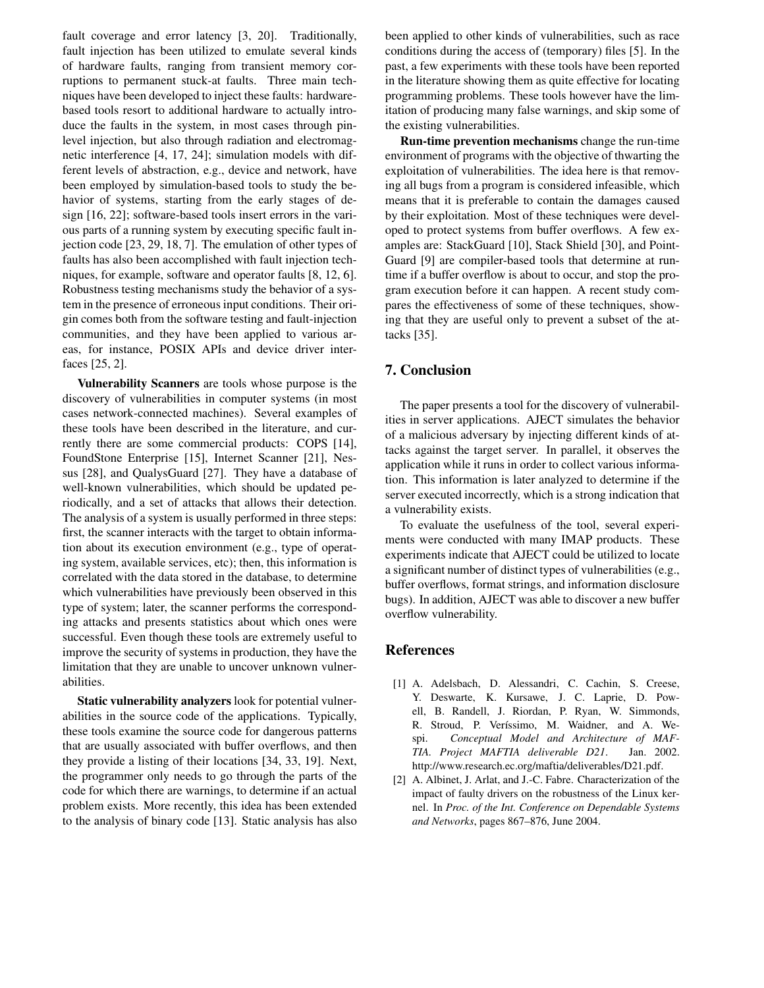fault coverage and error latency [3, 20]. Traditionally, fault injection has been utilized to emulate several kinds of hardware faults, ranging from transient memory corruptions to permanent stuck-at faults. Three main techniques have been developed to inject these faults: hardwarebased tools resort to additional hardware to actually introduce the faults in the system, in most cases through pinlevel injection, but also through radiation and electromagnetic interference [4, 17, 24]; simulation models with different levels of abstraction, e.g., device and network, have been employed by simulation-based tools to study the behavior of systems, starting from the early stages of design [16, 22]; software-based tools insert errors in the various parts of a running system by executing specific fault injection code [23, 29, 18, 7]. The emulation of other types of faults has also been accomplished with fault injection techniques, for example, software and operator faults [8, 12, 6]. Robustness testing mechanisms study the behavior of a system in the presence of erroneous input conditions. Their origin comes both from the software testing and fault-injection communities, and they have been applied to various areas, for instance, POSIX APIs and device driver interfaces [25, 2].

**Vulnerability Scanners** are tools whose purpose is the discovery of vulnerabilities in computer systems (in most cases network-connected machines). Several examples of these tools have been described in the literature, and currently there are some commercial products: COPS [14], FoundStone Enterprise [15], Internet Scanner [21], Nessus [28], and QualysGuard [27]. They have a database of well-known vulnerabilities, which should be updated periodically, and a set of attacks that allows their detection. The analysis of a system is usually performed in three steps: first, the scanner interacts with the target to obtain information about its execution environment (e.g., type of operating system, available services, etc); then, this information is correlated with the data stored in the database, to determine which vulnerabilities have previously been observed in this type of system; later, the scanner performs the corresponding attacks and presents statistics about which ones were successful. Even though these tools are extremely useful to improve the security of systems in production, they have the limitation that they are unable to uncover unknown vulnerabilities.

**Static vulnerability analyzers** look for potential vulnerabilities in the source code of the applications. Typically, these tools examine the source code for dangerous patterns that are usually associated with buffer overflows, and then they provide a listing of their locations [34, 33, 19]. Next, the programmer only needs to go through the parts of the code for which there are warnings, to determine if an actual problem exists. More recently, this idea has been extended to the analysis of binary code [13]. Static analysis has also

been applied to other kinds of vulnerabilities, such as race conditions during the access of (temporary) files [5]. In the past, a few experiments with these tools have been reported in the literature showing them as quite effective for locating programming problems. These tools however have the limitation of producing many false warnings, and skip some of the existing vulnerabilities.

**Run-time prevention mechanisms** change the run-time environment of programs with the objective of thwarting the exploitation of vulnerabilities. The idea here is that removing all bugs from a program is considered infeasible, which means that it is preferable to contain the damages caused by their exploitation. Most of these techniques were developed to protect systems from buffer overflows. A few examples are: StackGuard [10], Stack Shield [30], and Point-Guard [9] are compiler-based tools that determine at runtime if a buffer overflow is about to occur, and stop the program execution before it can happen. A recent study compares the effectiveness of some of these techniques, showing that they are useful only to prevent a subset of the attacks [35].

## **7. Conclusion**

The paper presents a tool for the discovery of vulnerabilities in server applications. AJECT simulates the behavior of a malicious adversary by injecting different kinds of attacks against the target server. In parallel, it observes the application while it runs in order to collect various information. This information is later analyzed to determine if the server executed incorrectly, which is a strong indication that a vulnerability exists.

To evaluate the usefulness of the tool, several experiments were conducted with many IMAP products. These experiments indicate that AJECT could be utilized to locate a significant number of distinct types of vulnerabilities (e.g., buffer overflows, format strings, and information disclosure bugs). In addition, AJECT was able to discover a new buffer overflow vulnerability.

### **References**

- [1] A. Adelsbach, D. Alessandri, C. Cachin, S. Creese, Y. Deswarte, K. Kursawe, J. C. Laprie, D. Powell, B. Randell, J. Riordan, P. Ryan, W. Simmonds, R. Stroud, P. Veríssimo, M. Waidner, and A. Wespi. *Conceptual Model and Architecture of MAF-TIA. Project MAFTIA deliverable D21*. Jan. 2002. http://www.research.ec.org/maftia/deliverables/D21.pdf.
- [2] A. Albinet, J. Arlat, and J.-C. Fabre. Characterization of the impact of faulty drivers on the robustness of the Linux kernel. In *Proc. of the Int. Conference on Dependable Systems and Networks*, pages 867–876, June 2004.